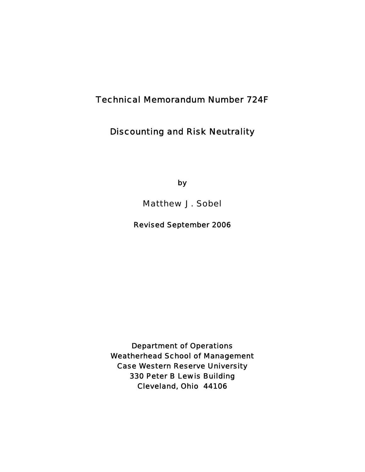# Technical Memorandum Number 724F

## Discounting and Risk Neutrality

by

Matthew J. Sobel

Revised September 2006

Department of Operations Weatherhead School of Management Case Western Reserve University 330 Peter B Lewis Building Cleveland, Ohio 44106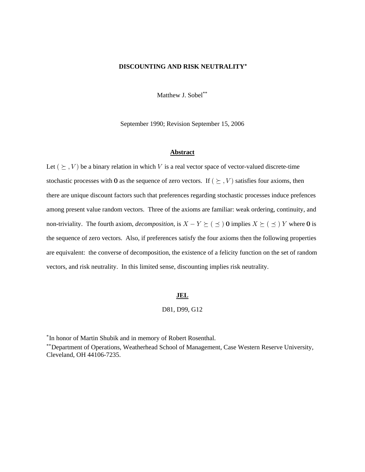## **DISCOUNTING AND RISK NEUTRALITY‡**

Matthew J. Sobel\*\*

September 1990; Revision September 15, 2006

#### **Abstract**

Let  $(\succeq, V)$  be a binary relation in which V is a real vector space of vector-valued discrete-time stochastic processes with **0** as the sequence of zero vectors. If  $(\succeq, V)$  satisfies four axioms, then there are unique discount factors such that preferences regarding stochastic processes induce prefences among present value random vectors. Three of the axioms are familiar: weak ordering, continuity, and non-triviality. The fourth axiom, *decomposition*, is  $X - Y \succeq (\preceq) 0$  implies  $X \succeq (\preceq) Y$  where 0 is the sequence of zero vectors. Also, if preferences satisfy the four axioms then the following properties are equivalent: the converse of decomposition, the existence of a felicity function on the set of random vectors, and risk neutrality. In this limited sense, discounting implies risk neutrality.

## **JEL**

## D81, D99, G12

\*In honor of Martin Shubik and in memory of Robert Rosenthal.

\*\*Department of Operations, Weatherhead School of Management, Case Western Reserve University, Cleveland, OH 44106-7235.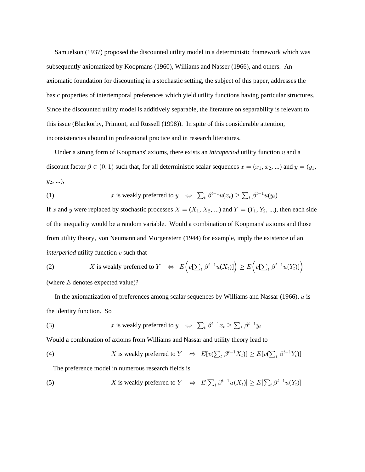Samuelson (1937) proposed the discounted utility model in a deterministic framework which was subsequently axiomatized by Koopmans (1960), Williams and Nasser (1966), and others. An axiomatic foundation for discounting in a stochastic setting, the subject of this paper, addresses the basic properties of intertemporal preferences which yield utility functions having particular structures. Since the discounted utility model is additively separable, the literature on separability is relevant to this issue (Blackorby, Primont, and Russell (1998)). In spite of this considerable attention, inconsistencies abound in professional practice and in research literatures.

Under a strong form of Koopmans' axioms, there exists an *intraperiod* utility function u and a discount factor  $\beta \in (0, 1)$  such that, for all deterministic scalar sequences  $x = (x_1, x_2, ...)$  and  $y = (y_1, ...)$  $y_2, ...),$ 

(1) 
$$
x
$$
 is weakly preferred to  $y \Leftrightarrow \sum_t \beta^{t-1} u(x_t) \ge \sum_t \beta^{t-1} u(y_t)$ 

If x and y were replaced by stochastic processes  $X = (X_1, X_2, ...)$  and  $Y = (Y_1, Y_2, ...)$ , then each side of the inequality would be a random variable. Would a combination of Koopmans' axioms and those from utility theory, von Neumann and Morgenstern (1944) for example, imply the existence of an *interperiod* utility function  $v$  such that

(2) 
$$
X \text{ is weakly preferred to } Y \Leftrightarrow E\Big(v[\sum_t \beta^{t-1}u(X_t)]\Big) \ge E\Big(v[\sum_t \beta^{t-1}u(Y_t)]\Big)
$$
  
(where *E* denotes expected value)?

In the axiomatization of preferences among scalar sequences by Williams and Nassar (1966),  $u$  is the identity function. So

(3)  $x$  is weakly preferred to  $y \Leftrightarrow \sum_t \beta^{t-1} x_t \ge \sum_t \beta^{t-1} y_t$ 

Would a combination of axioms from Williams and Nassar and utility theory lead to

(4) 
$$
X \text{ is weakly preferred to } Y \Leftrightarrow E[v(\sum_{t} \beta^{t-1} X_{t})] \ge E[v(\sum_{t} \beta^{t-1} Y_{t})]
$$

The preference model in numerous research fields is

(5) 
$$
X \text{ is weakly preferred to } Y \Leftrightarrow E[\sum_t \beta^{t-1} u(X_t)] \ge E[\sum_t \beta^{t-1} u(Y_t)]
$$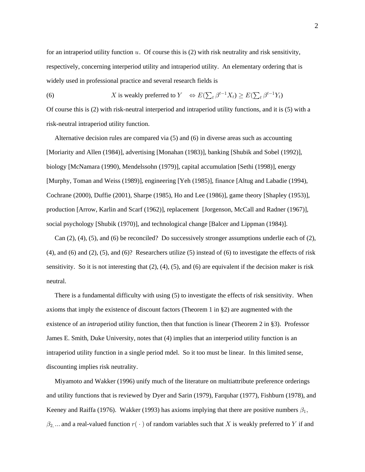for an intraperiod utility function  $u$ . Of course this is (2) with risk neutrality and risk sensitivity, respectively, concerning interperiod utility and intraperiod utility. An elementary ordering that is widely used in professional practice and several research fields is

(6)  $X$  is weakly preferred to  $Y \iff E(\sum_t \beta^{t-1} X_t) \ge E(\sum_t \beta^{t-1} Y_t)$ 

Of course this is (2) with risk-neutral interperiod and intraperiod utility functions, and it is (5) with a risk-neutral intraperiod utility function.

 Alternative decision rules are compared via (5) and (6) in diverse areas such as accounting [Moriarity and Allen (1984)], advertising [Monahan (1983)], banking [Shubik and Sobel (1992)], biology [McNamara (1990), Mendelssohn (1979)], capital accumulation [Sethi (1998)], energy [Murphy, Toman and Weiss (1989)], engineering [Yeh (1985)], finance [Altug and Labadie (1994), Cochrane (2000), Duffie (2001), Sharpe (1985), Ho and Lee (1986)], game theory [Shapley (1953)], production [Arrow, Karlin and Scarf (1962)], replacement [Jorgenson, McCall and Radner (1967)], social psychology [Shubik (1970)], and technological change [Balcer and Lippman (1984)].

 Can (2), (4), (5), and (6) be reconciled? Do successively stronger assumptions underlie each of (2), (4), and (6) and (2), (5), and (6)? Researchers utilize (5) instead of (6) to investigate the effects of risk sensitivity. So it is not interesting that  $(2)$ ,  $(4)$ ,  $(5)$ , and  $(6)$  are equivalent if the decision maker is risk neutral.

 There is a fundamental difficulty with using (5) to investigate the effects of risk sensitivity. When axioms that imply the existence of discount factors (Theorem 1 in §2) are augmented with the existence of an *intra* period utility function, then that function is linear (Theorem 2 in §3). Professor James E. Smith, Duke University, notes that (4) implies that an interperiod utility function is an intraperiod utility function in a single period mdel. So it too must be linear. In this limited sense, discounting implies risk neutrality.

 Miyamoto and Wakker (1996) unify much of the literature on multiattribute preference orderings and utility functions that is reviewed by Dyer and Sarin (1979), Farquhar (1977), Fishburn (1978), and Keeney and Raiffa (1976). Wakker (1993) has axioms implying that there are positive numbers  $\beta_1$ ,  $\beta_2$ , ... and a real-valued function  $r(\cdot)$  of random variables such that X is weakly preferred to Y if and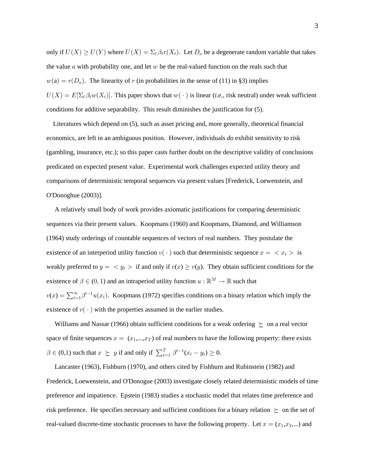only if  $U(X) \ge U(Y)$  where  $U(X) = \sum_t \beta_t r(X_t)$ . Let  $D_a$  be a degenerate random variable that takes the value  $\alpha$  with probability one, and let  $w$  be the real-valued function on the reals such that  $w(a) = r(D_a)$ . The linearity of r (in probabilities in the sense of (11) in §3) implies  $U(X) = E[\Sigma_t \beta_t w(X_t)]$ . This paper shows that  $w(\cdot)$  is linear (*i.e.*, risk neutral) under weak sufficient conditions for additive separability. This result diminishes the justification for (5).

 Literatures which depend on (5), such as asset pricing and, more generally, theoretical financial economics, are left in an ambiguous position. However, individuals do exhibit sensitivity to risk (gambling, insurance, etc.); so this paper casts further doubt on the descriptive validity of conclusions predicated on expected present value. Experimental work challenges expected utility theory and comparisons of deterministic temporal sequences via present values [Frederick, Loewenstein, and O'Donoghue (2003)].

 A relatively small body of work provides axiomatic justifications for comparing deterministic sequences via their present values. Koopmans (1960) and Koopmans, Diamond, and Williamson (1964) study orderings of countable sequences of vectors of real numbers. They postulate the existence of an interperiod utility function  $v(\cdot)$  such that deterministic sequence  $x = \langle x_t \rangle$  is weakly preferred to  $y = \langle y_t \rangle$  if and only if  $v(x) \ge v(y)$ . They obtain sufficient conditions for the existence of  $\beta \in (0,1)$  and an intraperiod utility function  $u:\mathbb{R}^M \rightarrow \mathbb{R}$  such that  $v(x) = \sum_{t=1}^{\infty} \beta^{t-1} u(x_t)$ . Koopmans (1972) specifies conditions on a binary relation which imply the existence of  $v(\cdot)$  with the properties assumed in the earlier studies.

Williams and Nassar (1966) obtain sufficient conditions for a weak ordering  $\geq$  on a real vector space of finite sequences  $x = (x_1,...,x_T)$  of real numbers to have the following property: there exists  $\beta \in (0,1)$  such that  $x \succeq y$  if and only if  $\sum_{t=1}^{T} \beta^{t-1}(x_t - y_t) \ge 0$ .

 Lancaster (1963), Fishburn (1970), and others cited by Fishburn and Rubinstein (1982) and Frederick, Loewenstein, and O'Donogue (2003) investigate closely related deterministic models of time preference and impatience. Epstein (1983) studies a stochastic model that relates time preference and risk preference. He specifies necessary and sufficient conditions for a binary relation  $\succeq$  on the set of real-valued discrete-time stochastic processes to have the following property. Let  $x = (x_1, x_2, ...)$  and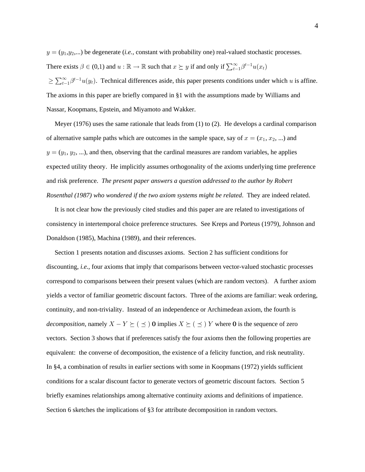$y = (y_1, y_2, ...)$  be degenerate (*i.e.*, constant with probability one) real-valued stochastic processes. There exists  $\beta \in (0,1)$  and  $u : \mathbb{R} \to \mathbb{R}$  such that  $x \succeq y$  if and only if  $\sum_{t=1}^{\infty} \beta^{t-1} u(x_t)$  $\geq \sum_{t=1}^{\infty} \beta^{t-1} u(y_t)$ . Technical differences aside, this paper presents conditions under which u is affine.

The axioms in this paper are briefly compared in §1 with the assumptions made by Williams and Nassar, Koopmans, Epstein, and Miyamoto and Wakker.

 Meyer (1976) uses the same rationale that leads from (1) to (2). He develops a cardinal comparison of alternative sample paths which are outcomes in the sample space, say of  $x = (x_1, x_2, ...)$  and  $y = (y_1, y_2, ...)$ , and then, observing that the cardinal measures are random variables, he applies expected utility theory. He implicitly assumes orthogonality of the axioms underlying time preference and risk preference. *The present paper answers a question addressed to the author by Robert Rosenthal (1987) who wondered if the two axiom systems might be related*. They are indeed related.

 It is not clear how the previously cited studies and this paper are are related to investigations of consistency in intertemporal choice preference structures. See Kreps and Porteus (1979), Johnson and Donaldson (1985), Machina (1989), and their references.

 Section 1 presents notation and discusses axioms. Section 2 has sufficient conditions for discounting, *i.e.*, four axioms that imply that comparisons between vector-valued stochastic processes correspond to comparisons between their present values (which are random vectors). A further axiom yields a vector of familiar geometric discount factors. Three of the axioms are familiar: weak ordering, continuity, and non-triviality. Instead of an independence or Archimedean axiom, the fourth is *decomposition,* namely  $X - Y \succeq (\preceq)$  **0** implies  $X \succeq (\preceq) Y$  where **0** is the sequence of zero vectors. Section 3 shows that if preferences satisfy the four axioms then the following properties are equivalent: the converse of decomposition, the existence of a felicity function, and risk neutrality. In §4, a combination of results in earlier sections with some in Koopmans (1972) yields sufficient conditions for a scalar discount factor to generate vectors of geometric discount factors. Section 5 briefly examines relationships among alternative continuity axioms and definitions of impatience. Section 6 sketches the implications of §3 for attribute decomposition in random vectors.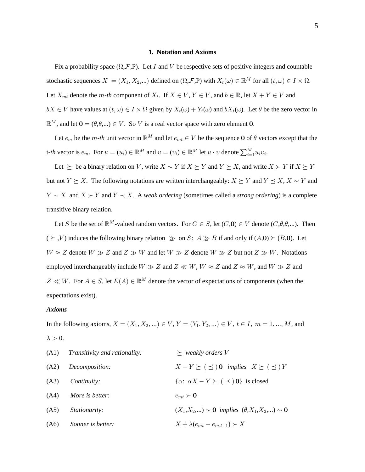## **1. Notation and Axioms**

Fix a probability space  $(\Omega, \mathcal{F}, P)$ . Let I and V be respective sets of positive integers and countable stochastic sequences  $X = (X_1, X_2, ...)$  defined on  $(\Omega, \mathcal{F}, P)$  with  $X_t(\omega) \in \mathbb{R}^M$  for all  $(t, \omega) \in I \times \Omega$ . Let  $X_{mt}$  denote the *m*-th component of  $X_t$ . If  $X \in V$ ,  $Y \in V$ , and  $b \in \mathbb{R}$ , let  $X + Y \in V$  and  $bX \in V$  have values at  $(t, \omega) \in I \times \Omega$  given by  $X_t(\omega) + Y_t(\omega)$  and  $bX_t(\omega)$ . Let  $\theta$  be the zero vector in  $\mathbb{R}^M$ , and let  $\mathbf{0} = (\theta, \theta, \dots) \in V$ . So V is a real vector space with zero element 0.

Let  $e_m$  be the *m*-*th* unit vector in  $\mathbb{R}^M$  and let  $e_{mt} \in V$  be the sequence **0** of  $\theta$  vectors except that the t-th vector is  $e_m$ . For  $u = (u_i) \in \mathbb{R}^M$  and  $v = (v_i) \in \mathbb{R}^M$  let  $u \cdot v$  denote  $\sum_{i=1}^M u_i v_i$ .

Let  $\succeq$  be a binary relation on V, write  $X \sim Y$  if  $X \succeq Y$  and  $Y \succeq X$ , and write  $X \succ Y$  if  $X \succeq Y$ but not  $Y \succeq X$ . The following notations are written interchangeably:  $X \succeq Y$  and  $Y \preceq X$ ,  $X \sim Y$  and  $Y \sim X$ , and  $X \succ Y$  and  $Y \prec X$ . A *weak ordering* (sometimes called a *strong ordering*) is a complete transitive binary relation.

Let S be the set of  $\mathbb{R}^M$ -valued random vectors. For  $C \in S$ , let  $(C, \mathbf{0}) \in V$  denote  $(C, \theta, \theta, ...)$ . Then  $(\succeq, V)$  induces the following binary relation  $\gg$  on S:  $A \gg B$  if and only if  $(A, 0) \succeq (B, 0)$ . Let  $W \approx Z$  denote  $W \gg Z$  and  $Z \gg W$  and let  $W \gg Z$  denote  $W \gg Z$  but not  $Z \gg W$ . Notations employed interchangeably include  $W \gg Z$  and  $Z \ll W$ ,  $W \approx Z$  and  $Z \approx W$ , and  $W \gg Z$  and  $Z \ll W$ . For  $A \in S$ , let  $E(A) \in \mathbb{R}^M$  denote the vector of expectations of components (when the expectations exist).

#### *Axioms*

In the following axioms,  $X = (X_1, X_2, ...) \in V$ ,  $Y = (Y_1, Y_2, ...) \in V$ ,  $t \in I$ ,  $m = 1, ..., M$ , and  $\lambda > 0$ .

|      | $(A1)$ Transitivity and rationality: | $\succeq$ weakly orders V                                   |
|------|--------------------------------------|-------------------------------------------------------------|
| (A2) | Decomposition:                       | $X - Y \succeq (\preceq)$ 0 implies $X \succeq (\preceq) Y$ |
| (A3) | <i>Continuity:</i>                   | $\{\alpha: \alpha X - Y \succeq (\preceq) 0\}$ is closed    |
| (A4) | More is better:                      | $e_{mt} \succ \mathbf{0}$                                   |
| (A5) | Stationarity:                        | $(X_1, X_2,) \sim 0$ implies $(\theta, X_1, X_2,) \sim 0$   |
| (A6) | Sooner is better:                    | $X + \lambda(e_{mt} - e_{m.t+1}) \succ X$                   |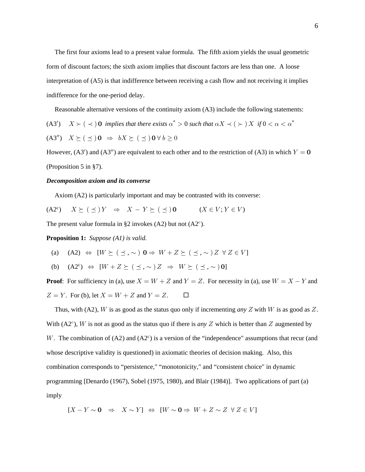The first four axioms lead to a present value formula. The fifth axiom yields the usual geometric form of discount factors; the sixth axiom implies that discount factors are less than one. A loose interpretation of (A5) is that indifference between receiving a cash flow and not receiving it implies indifference for the one-period delay.

Reasonable alternative versions of the continuity axiom (A3) include the following statements:

(A3')  $X \succ ( \prec )$  **0** implies that there exists  $\alpha^* > 0$  such that  $\alpha X \prec ( \succ ) X$  if  $0 < \alpha < \alpha^*$  $(A3'')$   $X \succeq (\preceq) \mathbf{0} \Rightarrow bX \succeq (\preceq) \mathbf{0} \forall b \ge 0$ 

However,  $(A3')$  and  $(A3'')$  are equivalent to each other and to the restriction of  $(A3)$  in which  $Y = 0$ (Proposition 5 in §7).

#### *Decomposition axiom and its converse*

Axiom (A2) is particularly important and may be contrasted with its converse:

 $(X2^c)$   $X \succeq (\preceq) Y \Rightarrow X - Y \succeq (\preceq) 0$   $(X \in V; Y \in V)$ 

The present value formula in §2 invokes (A2) but not  $(A2<sup>c</sup>)$ .

**Proposition 1:** *Suppose (A1) is valid.*

(a) (A2) 
$$
\Leftrightarrow
$$
  $[W \succeq (\preceq, \sim) \mathbf{0} \Rightarrow W + Z \succeq (\preceq, \sim) Z \forall Z \in V]$ 

(b) 
$$
(A2^c) \Leftrightarrow [W + Z \succeq (\preceq, \sim) Z \Rightarrow W \succeq (\preceq, \sim) 0]
$$

**Proof**: For sufficiency in (a), use  $X = W + Z$  and  $Y = Z$ . For necessity in (a), use  $W = X - Y$  and  $Z = Y$ . For (b), let  $X = W + Z$  and  $Y = Z$ .  $\Box$ 

Thus, with (A2), W is as good as the status quo only if incrementing any Z with W is as good as Z. With  $(A2<sup>c</sup>)$ , W is not as good as the status quo if there is *any* Z which is better than Z augmented by W. The combination of  $(A2)$  and  $(A2<sup>c</sup>)$  is a version of the "independence" assumptions that recur (and whose descriptive validity is questioned) in axiomatic theories of decision making. Also, this combination corresponds to "persistence," "monotonicity," and "consistent choice" in dynamic programming [Denardo (1967), Sobel (1975, 1980), and Blair (1984)]. Two applications of part (a) imply

 $[X - Y \sim 0 \Rightarrow X \sim Y] \Leftrightarrow [ W \sim 0 \Rightarrow W + Z \sim Z \forall Z \in V ]$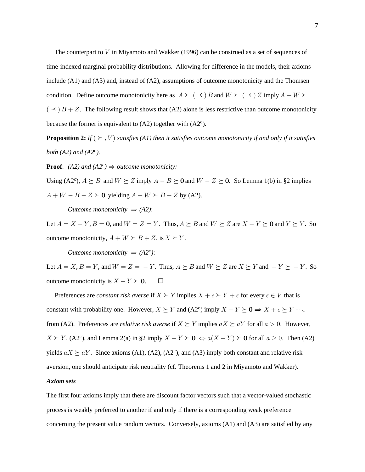The counterpart to  $V$  in Miyamoto and Wakker (1996) can be construed as a set of sequences of time-indexed marginal probability distributions. Allowing for difference in the models, their axioms include  $(A1)$  and  $(A3)$  and, instead of  $(A2)$ , assumptions of outcome monotonicity and the Thomsen condition. Define outcome monotonicity here as  $A \succeq (\preceq) B$  and  $W \succeq (\preceq) Z$  imply  $A + W \succeq$  $($   $\preceq$   $)$   $B + Z$ . The following result shows that (A2) alone is less restrictive than outcome monotonicity because the former is equivalent to  $(A2)$  together with  $(A2<sup>c</sup>)$ .

**Proposition 2:** If  $(\succeq, V)$  satisfies (A1) then it satisfies outcome monotonicity if and only if it satisfies both  $(A2)$  and  $(A2<sup>c</sup>)$ .

**Proof:** (A2) and (A2<sup>c</sup>)  $\Rightarrow$  outcome monotonicity:

Using (A2<sup>c</sup>),  $A \succeq B$  and  $W \succeq Z$  imply  $A - B \succeq 0$  and  $W - Z \succeq 0$ . So Lemma 1(b) in §2 implies  $A + W - B - Z \succeq 0$  yielding  $A + W \succeq B + Z$  by (A2).

*Outcome monotonicity*  $\Rightarrow$  (A2):

Let  $A = X - Y$ ,  $B = 0$ , and  $W = Z = Y$ . Thus,  $A \succeq B$  and  $W \succeq Z$  are  $X - Y \succeq 0$  and  $Y \succeq Y$ . So outcome monotonicity,  $A + W \succeq B + Z$ , is  $X \succeq Y$ .

*Outcome monotonicity*  $\Rightarrow$   $(A2^c)$ :

Let  $A = X, B = Y$ , and  $W = Z = -Y$ . Thus,  $A \succeq B$  and  $W \succeq Z$  are  $X \succeq Y$  and  $-Y \succeq -Y$ . So outcome monotonicity is  $X - Y \succeq 0$ .  $\Box$ 

Preferences are *constant risk averse* if  $X \succeq Y$  implies  $X + \epsilon \succeq Y + \epsilon$  for every  $\epsilon \in V$  that is constant with probability one. However,  $X \succeq Y$  and  $(A2^c)$  imply  $X - Y \succeq 0 \Rightarrow X + \epsilon \succeq Y + \epsilon$ from (A2). Preferences are *relative risk averse* if  $X \succeq Y$  implies  $aX \succeq aY$  for all  $a > 0$ . However,  $X \succeq Y$ , (A2<sup>c</sup>), and Lemma 2(a) in §2 imply  $X - Y \succeq 0 \Leftrightarrow a(X - Y) \succeq 0$  for all  $a \ge 0$ . Then (A2) yields  $aX \succeq aY$ . Since axioms (A1), (A2), (A2<sup>c</sup>), and (A3) imply both constant and relative risk aversion, one should anticipate risk neutrality (cf. Theorems 1 and 2 in Miyamoto and Wakker).

## **Axiom sets**

The first four axioms imply that there are discount factor vectors such that a vector-valued stochastic process is weakly preferred to another if and only if there is a corresponding weak preference concerning the present value random vectors. Conversely, axioms  $(A1)$  and  $(A3)$  are satisfied by any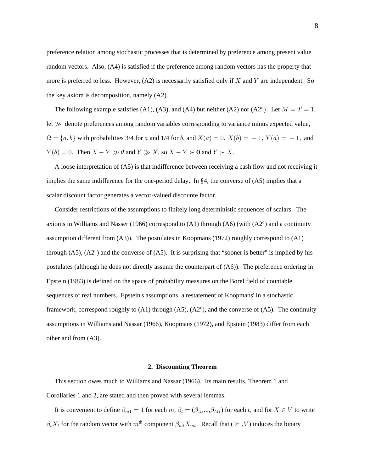preference relation among stochastic processes that is determined by preference among present value random vectors. Also, (A4) is satisfied if the preference among random vectors has the property that more is preferred to less. However,  $(A2)$  is necessarily satisfied only if X and Y are independent. So the key axiom is decomposition, namely (A2).

The following example satisfies (A1), (A3), and (A4) but neither (A2) nor (A2<sup>c</sup>). Let  $M = T = 1$ , let  $\gg$  denote preferences among random variables corresponding to variance minus expected value,  $\Omega = \{a, b\}$  with probabilities 3/4 for a and 1/4 for b, and  $X(a) = 0$ ,  $X(b) = -1$ ,  $Y(a) = -1$ , and  $Y(b) = 0$ . Then  $X - Y \gg \theta$  and  $Y \gg X$ , so  $X - Y \succ 0$  and  $Y \succ X$ .

 A loose interpretation of (A5) is that indifference between receiving a cash flow and not receiving it implies the same indifference for the one-period delay. In §4, the converse of (A5) implies that a scalar discount factor generates a vector-valued discounte factor.

 Consider restrictions of the assumptions to finitely long deterministic sequences of scalars. The axioms in Williams and Nasser (1966) correspond to  $(A1)$  through  $(A6)$  (with  $(A2<sup>c</sup>)$  and a continuity assumption different from (A3)). The postulates in Koopmans (1972) roughly correspond to (A1) through  $(A5)$ ,  $(A2<sup>c</sup>)$  and the converse of  $(A5)$ . It is surprising that "sooner is better" is implied by his postulates (although he does not directly assume the counterpart of (A6)). The preference ordering in Epstein (1983) is defined on the space of probability measures on the Borel field of countable sequences of real numbers. Epstein's assumptions, a restatement of Koopmans' in a stochastic framework, correspond roughly to  $(A1)$  through  $(A5)$ ,  $(A2<sup>c</sup>)$ , and the converse of  $(A5)$ . The continuity assumptions in Williams and Nassar (1966), Koopmans (1972), and Epstein (1983) differ from each other and from (A3).

## **2. Discounting Theorem**

 This section owes much to Williams and Nassar (1966). Its main results, Theorem 1 and Corollaries 1 and 2, are stated and then proved with several lemmas.

It is convenient to define  $\beta_{m1} = 1$  for each  $m, \beta_t = (\beta_{1t},...,\beta_{Mt})$  for each t, and for  $X \in V$  to write  $\beta_t X_t$  for the random vector with  $m^{\text{th}}$  component  $\beta_{mt} X_{mt}$ . Recall that (  $\succeq$  , V) induces the binary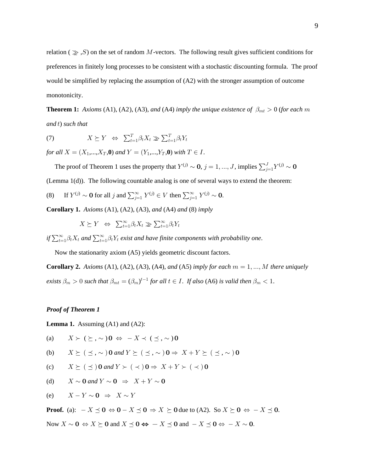relation ( $\geq$ , S) on the set of random M-vectors. The following result gives sufficient conditions for preferences in finitely long processes to be consistent with a stochastic discounting formula. The proof would be simplified by replacing the assumption of (A2) with the stronger assumption of outcome monotonicity.

**Theorem 1:** Axioms (A1), (A2), (A3), and (A4) imply the unique existence of  $\beta_{mt} > 0$  (for each m *and t*) such that

(7)  $X \succeq Y \Leftrightarrow \sum_{t=1}^{T} \beta_t X_t \geq \sum_{t=1}^{T} \beta_t Y_t$ 

*for all*  $X = (X_1, \ldots, X_T, \mathbf{0})$  and  $Y = (Y_1, \ldots, Y_T, \mathbf{0})$  with  $T \in I$ .

The proof of Theorem 1 uses the property that  $Y^{(j)} \sim 0$ ,  $j = 1, ..., J$ , implies  $\sum_{j=1}^{J} Y^{(j)} \sim 0$ (Lemma 1(d)). The following countable analog is one of several ways to extend the theorem:

(8) If  $Y^{(j)} \sim 0$  for all j and  $\sum_{j=1}^{\infty} Y^{(j)} \in V$  then  $\sum_{j=1}^{\infty} Y^{(j)} \sim 0$ .

**Corollary 1.** Axioms (A1), (A2), (A3), and (A4) and (8) *imply* 

 $X \succeq Y \Leftrightarrow \sum_{t=1}^{\infty} \beta_t X_t \gg \sum_{t=1}^{\infty} \beta_t Y_t$ 

if  $\sum_{t=1}^{\infty} \beta_t X_t$  and  $\sum_{t=1}^{\infty} \beta_t Y_t$  exist and have finite components with probability one.

Now the stationarity axiom (A5) yields geometric discount factors.

**Corollary 2.** Axioms (A1), (A2), (A3), (A4), and (A5) *imply for each*  $m = 1, ..., M$  there uniquely *exists*  $\beta_m > 0$  *such that*  $\beta_{mt} = (\beta_m)^{t-1}$  *for all t*  $\in I$ *. If also* (A6) *is valid then*  $\beta_m < 1$ *.* 

## *Proof of Theorem 1*

**Lemma 1.** Assuming (A1) and (A2):

(a) 
$$
X \succ (\succeq, \sim)
$$
 0  $\Leftrightarrow -X \prec (\preceq, \sim)$  0

(b) 
$$
X \succeq (\preceq, \sim)
$$
 **0** and  $Y \succeq (\preceq, \sim)$  **0**  $\Rightarrow$   $X + Y \succeq (\preceq, \sim)$  **0**

(c) 
$$
X \succeq (\preceq)
$$
 **0** and  $Y \succ (\prec)$  **0**  $\Rightarrow$   $X + Y \succ (\prec)$  **0**

(d) 
$$
X \sim 0
$$
 and  $Y \sim 0 \Rightarrow X + Y \sim 0$ 

(e) 
$$
X - Y \sim 0 \Rightarrow X \sim Y
$$

**Proof.** (a):  $-X \preceq \mathbf{0} \Leftrightarrow \mathbf{0} - X \preceq \mathbf{0} \Rightarrow X \succeq \mathbf{0}$  due to (A2). So  $X \succeq \mathbf{0} \Leftrightarrow -X \preceq \mathbf{0}$ .

Now  $X \sim 0 \Leftrightarrow X \succeq 0$  and  $X \preceq 0 \Leftrightarrow -X \preceq 0$  and  $-X \preceq 0 \Leftrightarrow -X \sim 0$ .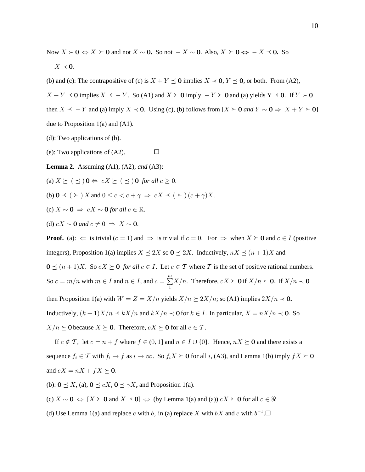Now  $X \succ 0 \Leftrightarrow X \succeq 0$  and not  $X \sim 0$ . So not  $-X \sim 0$ . Also,  $X \succeq 0 \Leftrightarrow -X \preceq 0$ . So  $-X \prec 0.$ 

(b) and (c): The contrapositive of (c) is  $X + Y \preceq 0$  implies  $X \prec 0$ ,  $Y \preceq 0$ , or both. From (A2),

 $X + Y \preceq 0$  implies  $X \preceq -Y$ . So (A1) and  $X \succeq 0$  imply  $-Y \succeq 0$  and (a) yields  $Y \preceq 0$ . If  $Y \succ 0$ 

then  $X \preceq -Y$  and (a) imply  $X \prec 0$ . Using (c), (b) follows from  $[X \succeq 0 \text{ and } Y \sim 0 \Rightarrow X + Y \succeq 0]$ due to Proposition  $1(a)$  and  $(A1)$ .

(d): Two applications of  $(b)$ .

(e): Two applications of  $(A2)$ . □

**Lemma 2.** Assuming  $(A1)$ ,  $(A2)$ , and  $(A3)$ :

(a)  $X \succeq (\preceq) \mathbf{0} \Leftrightarrow cX \succeq (\preceq) \mathbf{0}$  for all  $c \geq 0$ .

(b)  $0 \leq (\succeq) X$  and  $0 \leq c < c + \gamma \Rightarrow cX \leq (\succeq) (c + \gamma) X$ .

(c)  $X \sim \mathbf{0} \Rightarrow cX \sim \mathbf{0}$  for all  $c \in \mathbb{R}$ .

(d)  $cX \sim 0$  and  $c \neq 0 \Rightarrow X \sim 0$ .

**Proof.** (a):  $\Leftarrow$  is trivial  $(c = 1)$  and  $\Rightarrow$  is trivial if  $c = 0$ . For  $\Rightarrow$  when  $X \succeq 0$  and  $c \in I$  (positive integers), Proposition 1(a) implies  $X \leq 2X$  so  $0 \leq 2X$ . Inductively,  $nX \leq (n+1)X$  and

 $\mathbf{0} \preceq (n+1)X$ . So  $cX \succeq \mathbf{0}$  for all  $c \in I$ . Let  $c \in \mathcal{T}$  where  $\mathcal{T}$  is the set of positive rational numbers. So  $c = m/n$  with  $m \in I$  and  $n \in I$ , and  $c = \sum_{i=1}^{m} X/n$ . Therefore,  $cX \succeq 0$  if  $X/n \succeq 0$ . If  $X/n \prec 0$ 

then Proposition 1(a) with  $W = Z = X/n$  yields  $X/n \succeq 2X/n$ ; so (A1) implies  $2X/n \prec 0$ .

Inductively,  $(k+1)X/n \le kX/n$  and  $kX/n \prec 0$  for  $k \in I$ . In particular,  $X = nX/n \prec 0$ . So

 $X/n \succeq 0$  because  $X \succeq 0$ . Therefore,  $cX \succeq 0$  for all  $c \in \mathcal{T}$ .

If  $c \notin \mathcal{T}$ , let  $c = n + f$  where  $f \in (0, 1]$  and  $n \in I \cup \{0\}$ . Hence,  $nX \succeq 0$  and there exists a sequence  $f_i \in \mathcal{T}$  with  $f_i \to f$  as  $i \to \infty$ . So  $f_i X \succeq 0$  for all i, (A3), and Lemma 1(b) imply  $f X \succeq 0$ and  $cX = nX + fX \succeq 0$ .

(b):  $\mathbf{0} \preceq X$ , (a),  $\mathbf{0} \preceq cX$ ,  $\mathbf{0} \preceq \gamma X$ , and Proposition 1(a).

(c)  $X \sim 0 \Leftrightarrow [X \succeq 0 \text{ and } X \preceq 0] \Leftrightarrow$  (by Lemma 1(a) and (a))  $cX \succeq 0$  for all  $c \in \Re$ 

(d) Use Lemma 1(a) and replace c with b, in (a) replace X with bX and c with  $b^{-1}$ .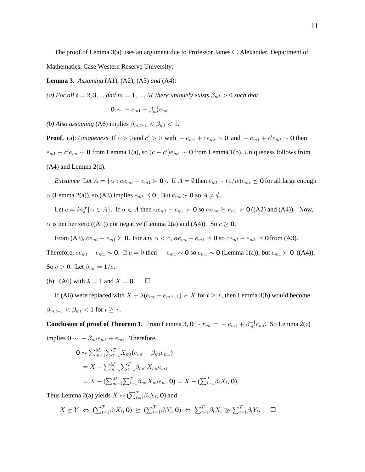The proof of Lemma 3(a) uses an argument due to Professor James C. Alexander, Department of Mathematics, Case Western Reserve University.

**Lemma 3.** Assuming  $(A1)$ ,  $(A2)$ ,  $(A3)$  and  $(A4)$ :

(a) For all  $t = 2, 3, ...$  and  $m = 1, ..., M$  there uniquely exists  $\beta_{mt} > 0$  such that

$$
\mathbf{0} \sim -e_{m1} + \beta_{mt}^{-1}e_{mt}.
$$

(b) Also assuming (A6) implies  $\beta_{m,t+1} < \beta_{mt} < 1$ .

**Proof.** (a): Uniqueness If  $c > 0$  and  $c' > 0$  with  $-e_{m1} + ce_{mt} \sim 0$  and  $-e_{m1} + c'e_{mt} \sim 0$  then  $e_{m1} - c' e_{mt} \sim 0$  from Lemma 1(a), so  $(c - c')e_{mt} \sim 0$  from Lemma 1(b). Uniqueness follows from  $(A4)$  and Lemma  $2(d)$ .

*Existence* Let  $A = \{ \alpha : \alpha e_{mt} - e_{m1} \succ \mathbf{0} \}$ . If  $A = \emptyset$  then  $e_{mt} - (1/\alpha)e_{m1} \preceq \mathbf{0}$  for all large enough  $\alpha$  (Lemma 2(a)), so (A3) implies  $e_{mt} \preceq$  0. But  $e_{mt} \succ$  0 so  $A \neq \emptyset$ .

Let  $c = inf\{\alpha \in A\}$ . If  $\alpha \in A$  then  $\alpha e_{mt} - e_{m1} > 0$  so  $\alpha e_{mt} \succeq e_{m1} > 0$  ((A2) and (A4)). Now,  $\alpha$  is neither zero ((A1)) nor negative (Lemma 2(a) and (A4)). So  $c \ge 0$ .

From (A3),  $ce_{mt} - e_{m1} \succeq 0$ . For any  $\alpha < c$ ,  $\alpha e_{mt} - e_{m1} \preceq 0$  so  $ce_{mt} - e_{m1} \preceq 0$  from (A3).

Therefore,  $ce_{mt} - e_{m1} \sim 0$ . If  $c = 0$  then  $-e_{m1} \sim 0$  so  $e_{m1} \sim 0$  (Lemma 1(a)); but  $e_{m1} \succ 0$  ((A4)). So  $c > 0$ . Let  $\beta_{mt} = 1/c$ .

(b): (A6) with  $\lambda = 1$  and  $X = 0$ .  $\Box$ 

If (A6) were replaced with  $X + \lambda(e_{mt} - e_{m,t+1}) \ge X$  for  $t \ge \tau$ , then Lemma 3(b) would become  $\beta_{m,t+1} < \beta_{mt} < 1$  for  $t \geq \tau$ .

**Conclusion of proof of Theorem 1.** From Lemma 3,  $\mathbf{0} \sim r_{mt} = -e_{m1} + \beta_{mt}^{-1}e_{mt}$ . So Lemma 2(c) implies  $\mathbf{0} \sim -\beta_{mt} e_{m1} + e_{mt}$ . Therefore,

$$
\mathbf{0} \sim \sum_{m=1}^{M} \sum_{t=1}^{T} X_{mt}(e_{mt} - \beta_{mt}e_{m1})
$$
  
=  $X - \sum_{m=1}^{M} \sum_{t=1}^{T} \beta_{mt} X_{mt}e_{m1}$   
=  $X - (\sum_{m=1}^{M} \sum_{t=1}^{T} \beta_{mt} X_{mt}e_m, \mathbf{0}) = X - (\sum_{t=1}^{T} \beta_t X_t, \mathbf{0}).$ 

Thus Lemma 2(a) yields  $X \sim (\sum_{t=1}^{T} \beta_t X_t, \mathbf{0})$  and

$$
X \succeq Y \Leftrightarrow (\sum_{t=1}^{T} \beta_t X_t, \mathbf{0}) \succeq (\sum_{t=1}^{T} \beta_t Y_t, \mathbf{0}) \Leftrightarrow \sum_{t=1}^{T} \beta_t X_t \geq \sum_{t=1}^{T} \beta_t Y_t.
$$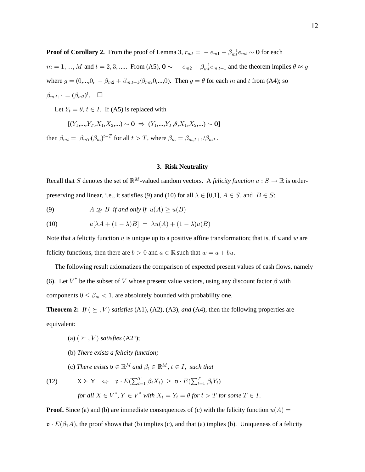**Proof of Corollary 2.** From the proof of Lemma 3,  $r_{mt} = -e_{m1} + \beta_{mt}^{-1}e_{mt} \sim 0$  for each  $m = 1, ..., M$  and  $t = 2, 3, ...$  From (A5),  $\mathbf{0} \sim -e_{m2} + \beta_{m}^{-1}e_{m,t+1}$  and the theorem implies  $\theta \approx g$ where  $g = (0,...,0, -\beta_{m2} + \beta_{m,t+1}/\beta_{mt},0,...,0)$ . Then  $g = \theta$  for each m and t from (A4); so  $\beta_{m,t+1} = (\beta_{m2})^t$ .  $\Box$ 

Let  $Y_t = \theta, t \in I$ . If (A5) is replaced with

$$
[(Y_1,...,Y_T,X_1,X_2,...) \sim \mathbf{0} \Rightarrow (Y_1,...,Y_T,\theta,X_1,X_2,...) \sim \mathbf{0}]
$$

then  $\beta_{mt} = \beta_{mT}(\beta_m)^{t-T}$  for all  $t > T$ , where  $\beta_m = \beta_{m,T+1}/\beta_{mT}$ .

#### 3. Risk Neutrality

Recall that S denotes the set of  $\mathbb{R}^M$ -valued random vectors. A felicity function  $u : S \to \mathbb{R}$  is orderpreserving and linear, i.e., it satisfies (9) and (10) for all  $\lambda \in [0,1]$ ,  $A \in S$ , and  $B \in S$ :

 $A \gg B$  if and only if  $u(A) \geq u(B)$  $(9)$ 

(10) 
$$
u[\lambda A + (1 - \lambda)B] = \lambda u(A) + (1 - \lambda)u(B)
$$

Note that a felicity function  $u$  is unique up to a positive affine transformation; that is, if  $u$  and  $w$  are felicity functions, then there are  $b > 0$  and  $a \in \mathbb{R}$  such that  $w = a + bu$ .

The following result axiomatizes the comparison of expected present values of cash flows, namely (6). Let  $V^*$  be the subset of V whose present value vectors, using any discount factor  $\beta$  with components  $0 \leq \beta_m < 1$ , are absolutely bounded with probability one.

**Theorem 2:** If  $(\succeq, V)$  satisfies (A1), (A2), (A3), and (A4), then the following properties are equivalent:

- (a)  $(\succeq, V)$  satisfies (A2<sup>c</sup>);
- (b) There exists a felicity function;

(c) There exists  $\mathfrak{v} \in \mathbb{R}^M$  and  $\beta_t \in \mathbb{R}^M$ ,  $t \in I$ , such that

(12) 
$$
X \succeq Y \Leftrightarrow \mathfrak{v} \cdot E(\sum_{t=1}^{T} \beta_t X_t) \ge \mathfrak{v} \cdot E(\sum_{t=1}^{T} \beta_t Y_t)
$$
  
for all  $X \in V^*$ ,  $Y \in V^*$  with  $X_t = Y_t = \theta$  for  $t > T$  for some  $T \in I$ .

**Proof.** Since (a) and (b) are immediate consequences of (c) with the felicity function  $u(A)$  =

 $\mathfrak{v} \cdot E(\beta_1 A)$ , the proof shows that (b) implies (c), and that (a) implies (b). Uniqueness of a felicity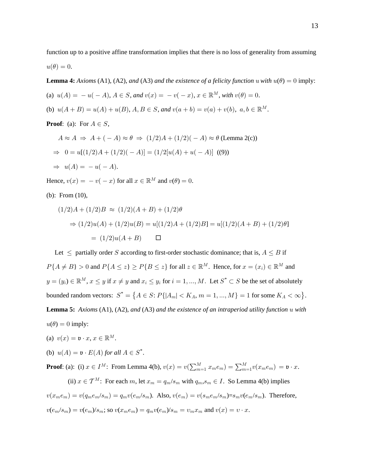function up to a positive affine transformation implies that there is no loss of generality from assuming  $u(\theta) = 0.$ 

**Lemma 4:** Axioms (A1), (A2), and (A3) and the existence of a felicity function u with  $u(\theta) = 0$  imply:

- (a)  $u(A) = -u(-A)$ ,  $A \in S$ , and  $v(x) = -v(-x)$ ,  $x \in \mathbb{R}^M$ , with  $v(\theta) = 0$ .
- (b)  $u(A + B) = u(A) + u(B)$ ,  $A, B \in S$ , and  $v(a + b) = v(a) + v(b)$ ,  $a, b \in \mathbb{R}^M$ .
- **Proof:** (a): For  $A \in S$ ,

$$
A \approx A \Rightarrow A + (-A) \approx \theta \Rightarrow (1/2)A + (1/2)(-A) \approx \theta \text{ (Lemma 2(c))}
$$
  
\n
$$
\Rightarrow 0 = u[(1/2)A + (1/2)(-A)] = (1/2[u(A) + u(-A)] \text{ ((9))}
$$
  
\n
$$
\Rightarrow u(A) = -u(-A).
$$

Hence,  $v(x) = -v(-x)$  for all  $x \in \mathbb{R}^M$  and  $v(\theta) = 0$ .

(b): From  $(10)$ ,

$$
(1/2)A + (1/2)B \approx (1/2)(A + B) + (1/2)\theta
$$
  
\n
$$
\Rightarrow (1/2)u(A) + (1/2)u(B) = u[(1/2)A + (1/2)B] = u[(1/2)(A + B) + (1/2)\theta]
$$
  
\n
$$
= (1/2)u(A + B) \qquad \Box
$$

Let  $\leq$  partially order S according to first-order stochastic dominance; that is,  $A \leq B$  if  $P\{A \neq B\} > 0$  and  $P\{A \leq z\} \geq P\{B \leq z\}$  for all  $z \in \mathbb{R}^M$ . Hence, for  $x = (x_i) \in \mathbb{R}^M$  and  $y = (y_i) \in \mathbb{R}^M$ ,  $x \le y$  if  $x \ne y$  and  $x_i \le y_i$  for  $i = 1, ..., M$ . Let  $S^* \subset S$  be the set of absolutely bounded random vectors:  $S^* = \{A \in S: P\{|A_m| < K_A, m = 1, ..., M\} = 1 \text{ for some } K_A < \infty\}.$ **Lemma 5:** Axioms  $(A1)$ ,  $(A2)$ , and  $(A3)$  and the existence of an intraperiod utility function  $u$  with  $u(\theta) = 0$  imply:

- (a)  $v(x) = \mathfrak{v} \cdot x, x \in \mathbb{R}^M$ .
- (b)  $u(A) = \mathfrak{v} \cdot E(A)$  for all  $A \in S^*$ .

**Proof:** (a): (i)  $x \in I^M$ : From Lemma 4(b),  $v(x) = v(\sum_{m=1}^M x_m e_m) = \sum_{m=1}^M v(x_m e_m) = v \cdot x$ .

(ii)  $x \in \mathcal{T}^M$ : For each m, let  $x_m = q_m/s_m$  with  $q_m, s_m \in I$ . So Lemma 4(b) implies  $v(x_m e_m) = v(q_m e_m / s_m) = q_m v(e_m / s_m)$ . Also,  $v(e_m) = v(s_m e_m / s_m) = s_m v(e_m / s_m)$ . Therefore,  $v(e_m/s_m) = v(e_m/s_m)$ ; so  $v(x_m e_m) = q_m v(e_m/s_m) = v_m x_m$  and  $v(x) = v \cdot x$ .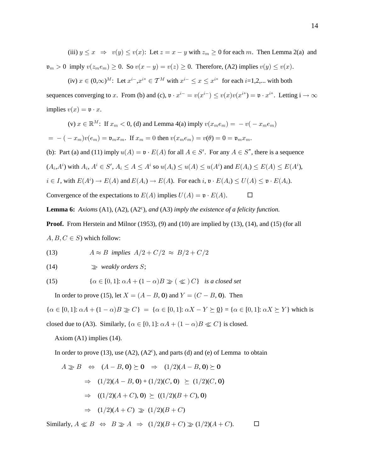(iii)  $y \leq x \Rightarrow v(y) \leq v(x)$ : Let  $z = x - y$  with  $z_m \geq 0$  for each m. Then Lemma 2(a) and  $\mathfrak{v}_m > 0$  imply  $v(z_m e_m) \geq 0$ . So  $v(x - y) = v(z) \geq 0$ . Therefore, (A2) implies  $v(y) \leq v(x)$ .

(iv)  $x \in (0, \infty)^M$ : Let  $x^{i-}, x^{i+} \in \mathcal{T}^M$  with  $x^{i-} \le x \le x^{i+}$  for each  $i=1,2,...$  with both sequences converging to x. From (b) and (c),  $\mathfrak{v} \cdot x^{i-} = v(x^{i-}) \le v(x)v(x^{i+}) = \mathfrak{v} \cdot x^{i+}$ . Letting  $i \to \infty$ implies  $v(x) = \mathfrak{v} \cdot x$ .

(v)  $x \in \mathbb{R}^M$ : If  $x_m < 0$ , (d) and Lemma 4(a) imply  $v(x_m e_m) = -v(-x_m e_m)$  $\mathbf{E} = -(-x_m)v(e_m) = \mathfrak{v}_m x_m$ . If  $x_m = 0$  then  $v(x_m e_m) = v(\theta) = 0 = \mathfrak{v}_m x_m$ . (b): Part (a) and (11) imply  $u(A) = \mathfrak{v} \cdot E(A)$  for all  $A \in S'$ . For any  $A \in S^*$ , there is a sequence  $(A_i, A^i)$  with  $A_i$ ,  $A^i \in S'$ ,  $A_i \leq A \leq A^i$  so  $u(A_i) \leq u(A) \leq u(A^i)$  and  $E(A_i) \leq E(A) \leq E(A^i)$ ,  $i \in I$ , with  $E(A^i) \to E(A)$  and  $E(A_i) \to E(A)$ . For each  $i, \mathfrak{v} \cdot E(A_i) \leq U(A) \leq \mathfrak{v} \cdot E(A_i)$ . Convergence of the expectations to  $E(A)$  implies  $U(A) = \mathfrak{v} \cdot E(A)$ .  $\Box$ 

**Lemma 6:** Axioms (A1), (A2), (A2<sup>c</sup>), and (A3) *imply the existence of a felicity function.* 

**Proof.** From Herstein and Milnor (1953), (9) and (10) are implied by (13), (14), and (15) (for all  $A, B, C \in S$ ) which follow:

(13) 
$$
A \approx B \text{ implies } A/2 + C/2 \approx B/2 + C/2
$$

$$
(14) \qquad \qquad \geq \text{ weakly orders } S;
$$

(15) 
$$
\{\alpha \in [0,1]: \alpha A + (1-\alpha)B \geq (\ll)C\} \text{ is a closed set}
$$

In order to prove (15), let  $X = (A - B, 0)$  and  $Y = (C - B, 0)$ . Then

 $\{\alpha \in [0,1]: \alpha A + (1 - \alpha)B \geq C\} = \{\alpha \in [0,1]: \alpha X - Y \succeq Q\} = \{\alpha \in [0,1]: \alpha X \succeq Y\}$  which is closed due to (A3). Similarly, { $\alpha \in [0,1]$ :  $\alpha A + (1 - \alpha)B \ll C$ } is closed.

Axiom (A1) implies (14).

In order to prove (13), use (A2), (A2<sup>c</sup>), and parts (d) and (e) of Lemma to obtain

$$
A \geq B \iff (A - B, \mathbf{0}) \succeq \mathbf{0} \Rightarrow (1/2)(A - B, \mathbf{0}) \succeq \mathbf{0}
$$
  
\n
$$
\Rightarrow (1/2)(A - B, \mathbf{0}) + (1/2)(C, \mathbf{0}) \succeq (1/2)(C, \mathbf{0})
$$
  
\n
$$
\Rightarrow ((1/2)(A + C), \mathbf{0}) \succeq ((1/2)(B + C), \mathbf{0})
$$
  
\n
$$
\Rightarrow (1/2)(A + C) \geq (1/2)(B + C)
$$

Similarly,  $A \ll B \Leftrightarrow B \gg A \Rightarrow (1/2)(B+C) \gg (1/2)(A+C)$ .  $\Box$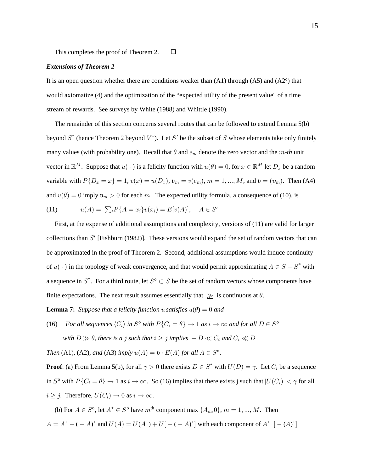This completes the proof of Theorem 2.  $\Box$ 

#### *Extensions of Theorem 2*

It is an open question whether there are conditions weaker than  $(A1)$  through  $(A5)$  and  $(A2<sup>c</sup>)$  that would axiomatize (4) and the optimization of the "expected utility of the present value" of a time stream of rewards. See surveys by White (1988) and Whittle (1990).

 The remainder of this section concerns several routes that can be followed to extend Lemma 5(b) beyond  $S^*$  (hence Theorem 2 beyond  $V^*$ ). Let  $S'$  be the subset of S whose elements take only finitely many values (with probability one). Recall that  $\theta$  and  $e_m$  denote the zero vector and the m-th unit vector in  $\mathbb{R}^M$ . Suppose that  $u(\cdot)$  is a felicity function with  $u(\theta) = 0$ , for  $x \in \mathbb{R}^M$  let  $D_x$  be a random variable with  $P\{D_x = x\} = 1, v(x) = u(D_x), v_m = v(e_m), m = 1, ..., M$ , and  $v = (v_m)$ . Then (A4) and  $v(\theta) = 0$  imply  $\mathfrak{v}_m > 0$  for each m. The expected utility formula, a consequence of (10), is

(11) 
$$
u(A) = \sum_{i} P\{A = x_{i}\} v(x_{i}) = E[v(A)], \quad A \in S'
$$

 First, at the expense of additional assumptions and complexity, versions of (11) are valid for larger collections than  $S'$  [Fishburn (1982)]. These versions would expand the set of random vectors that can be approximated in the proof of Theorem 2. Second, additional assumptions would induce continuity of  $u(\cdot)$  in the topology of weak convergence, and that would permit approximating  $A \in S - S^*$  with a sequence in  $S^*$ . For a third route, let  $S^0 \subset S$  be the set of random vectors whose components have finite expectations. The next result assumes essentially that  $\gg$  is continuous at  $\theta$ .

**Lemma 7:** Suppose that a felicity function u satisfies  $u(\theta) = 0$  and

(16) *For all sequences*  $\langle C_i \rangle$  *in*  $S^{\circ}$  *with*  $P\{C_i = \theta\} \to 1$  *as i*  $\to \infty$  *and for all*  $D \in S^{\circ}$ with  $D \gg \theta$ , there is a j such that  $i \geq j$  implies  $-D \ll C_i$  and  $C_i \ll D$ 

*Then* (A1), (A2), and (A3) imply  $u(A) = \mathfrak{v} \cdot E(A)$  for all  $A \in S^{\circ}$ .

**Proof**: (a) From Lemma 5(b), for all  $\gamma > 0$  there exists  $D \in S^*$  with  $U(D) = \gamma$ . Let  $C_i$  be a sequence in  $S^{\circ}$  with  $P\{C_i = \theta\} \to 1$  as  $i \to \infty$ . So (16) implies that there exists j such that  $|U(C_i)| < \gamma$  for all  $i \geq j$ . Therefore,  $U(C_i) \to 0$  as  $i \to \infty$ .

(b) For  $A \in S^{\circ}$ , let  $A^+ \in S^{\circ}$  have  $m^{\text{th}}$  component max  $\{A_m, 0\}$ ,  $m = 1, ..., M$ . Then  $A = A^+ - (-A)^+$  and  $U(A) = U(A^+) + U[-(-A)^+]$  with each component of  $A^+$   $[-(A)^+]$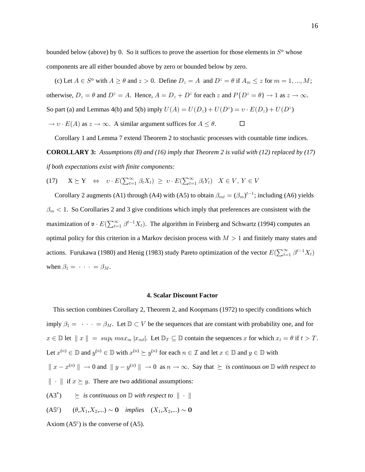bounded below (above) by 0. So it suffices to prove the assertion for those elements in  $S^{\text{o}}$  whose components are all either bounded above by zero or bounded below by zero.

(c) Let  $A \in S^{\circ}$  with  $A \ge \theta$  and  $z > 0$ . Define  $D_z = A$  and  $D^z = \theta$  if  $A_m \le z$  for  $m = 1, ..., M$ ; otherwise,  $D_z = \theta$  and  $D^z = A$ . Hence,  $A = D_z + D^z$  for each z and  $P\{D^z = \theta\} \to 1$  as  $z \to \infty$ . So part (a) and Lemmas 4(b) and 5(b) imply  $U(A) = U(D_z) + U(D^z) = v \cdot E(D_z) + U(D^z)$  $\rightarrow v \cdot E(A)$  as  $z \rightarrow \infty$ . A similar argument suffices for  $A \le \theta$ .

 Corollary 1 and Lemma 7 extend Theorem 2 to stochastic processes with countable time indices. **COROLLARY 3:** *Assumptions (8) and (16) imply that Theorem 2 is valid with (12) replaced by (17) if both expectations exist with finite components:*

(17) 
$$
X \succeq Y \Leftrightarrow v \cdot E(\sum_{t=1}^{\infty} \beta_t X_t) \ge v \cdot E(\sum_{t=1}^{\infty} \beta_t Y_t) \quad X \in V, Y \in V
$$

Corollary 2 augments (A1) through (A4) with (A5) to obtain  $\beta_{mt} = (\beta_m)^{t-1}$ ; including (A6) yields  $\beta_m < 1$ . So Corollaries 2 and 3 give conditions which imply that preferences are consistent with the maximization of  $\mathfrak{v} \cdot E(\sum_{t=1}^{\infty} \beta^{t-1} X_t)$ . The algorithm in Feinberg and Schwartz (1994) computes an optimal policy for this criterion in a Markov decision process with  $M > 1$  and finitely many states and actions. Furukawa (1980) and Henig (1983) study Pareto optimization of the vector  $E(\sum_{t=1}^{\infty} \beta^{t-1} X_t)$ when  $\beta_1 = \cdots = \beta_M$ .

#### **4. Scalar Discount Factor**

 This section combines Corollary 2, Theorem 2, and Koopmans (1972) to specify conditions which imply  $\beta_1 = \cdots = \beta_M$ . Let  $\mathbb{D} \subset V$  be the sequences that are constant with probability one, and for  $x \in \mathbb{D}$  let  $||x|| = \sup_t \max_m |x_{mt}|$ . Let  $\mathbb{D}_T \subseteq \mathbb{D}$  contain the sequences x for which  $x_t = \theta$  if  $t > T$ . Let  $x^{(n)} \in \mathbb{D}$  and  $y^{(n)} \in \mathbb{D}$  with  $x^{(n)} \succeq y^{(n)}$  for each  $n \in \mathcal{I}$  and let  $x \in \mathbb{D}$  and  $y \in \mathbb{D}$  with  $\|x - x^{(n)}\| \to 0$  and  $\|y - y^{(n)}\| \to 0$  as  $n \to \infty$ . Say that  $\succeq$  *is continuous on*  $\mathbb D$  with respect to  $\|\cdot\|$  if  $x \succeq y$ . There are two additional assumptions:  $(A3^*) \geq is \text{ continuous on } \mathbb{D} \text{ with respect to } || \cdot ||$ (A5<sup>c</sup>)  $(\theta, X_1, X_2,...) \sim 0$  *implies*  $(X_1, X_2,...) \sim 0$ 

Axiom  $(A5^c)$  is the converse of  $(A5)$ .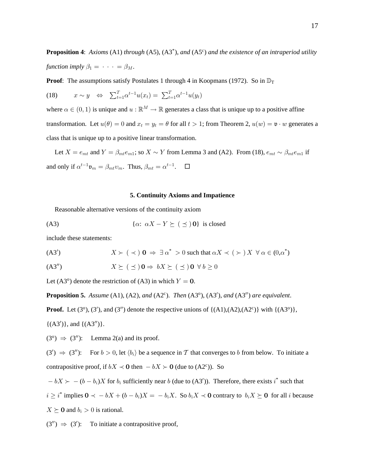**Proposition 4:** Axioms (A1) through (A5), (A3<sup>\*</sup>), and (A5<sup>c</sup>) and the existence of an intraperiod utility function imply  $\beta_1 = \cdots = \beta_M$ .

**Proof:** The assumptions satisfy Postulates 1 through 4 in Koopmans (1972). So in  $\mathbb{D}_T$ 

(18) 
$$
x \sim y \Leftrightarrow \sum_{t=1}^{T} \alpha^{t-1} u(x_t) = \sum_{t=1}^{T} \alpha^{t-1} u(y_t)
$$

where  $\alpha \in (0,1)$  is unique and  $u : \mathbb{R}^M \to \mathbb{R}$  generates a class that is unique up to a positive affine transformation. Let  $u(\theta) = 0$  and  $x_t = y_t = \theta$  for all  $t > 1$ ; from Theorem 2,  $u(w) = v \cdot w$  generates a class that is unique up to a positive linear transformation.

Let  $X = e_{mt}$  and  $Y = \beta_{mt}e_{m1}$ ; so  $X \sim Y$  from Lemma 3 and (A2). From (18),  $e_{mt} \sim \beta_{mt}e_{m1}$  if and only if  $\alpha^{t-1} \mathfrak{v}_m = \beta_{mt} v_m$ . Thus,  $\beta_{mt} = \alpha^{t-1}$ .  $\Box$ 

#### **5. Continuity Axioms and Impatience**

Reasonable alternative versions of the continuity axiom

$$
(A3) \qquad \{ \alpha: \ \alpha X - Y \succeq (\preceq) \mathbf{0} \} \text{ is closed}
$$

include these statements:

$$
(A3') \qquad \qquad X \succ (\prec) \; \mathbf{0} \; \Rightarrow \; \exists \; \alpha^* \; > 0 \text{ such that } \alpha X \prec (\succ) X \; \forall \; \alpha \in (0, \alpha^*)
$$

 $X \succeq (\preceq) \mathbf{0} \Rightarrow bX \succeq (\preceq) \mathbf{0} \forall b \geq 0$  $(A3'')$ 

Let  $(A3^{\circ})$  denote the restriction of  $(A3)$  in which  $Y = 0$ .

**Proposition 5.** Assume (A1), (A2), and (A2<sup>c</sup>). Then (A3<sup>o</sup>), (A3'), and (A3'') are equivalent.

**Proof.** Let (3<sup>o</sup>), (3'), and (3") denote the respective unions of  $\{(A1), (A2), (A2^c)\}\$  with  $\{(A3^o)\}\$ ,

 $\{(A3')\}$ , and  $\{(A3'')\}$ .

 $(3^{\circ}) \Rightarrow (3'')$ : Lemma 2(a) and its proof.

 $(3') \Rightarrow (3'')$ : For  $b > 0$ , let  $\langle b_i \rangle$  be a sequence in T that converges to b from below. To initiate a contrapositive proof, if  $bX \prec \mathbf{0}$  then  $-bX \succ \mathbf{0}$  (due to  $(A2^c)$ ). So

 $-bX \succ - (b - b_i)X$  for  $b_i$  sufficiently near b (due to (A3')). Therefore, there exists i<sup>\*</sup> such that

 $i \geq i^*$  implies  $0 \prec -bX + (b - b_i)X = -b_iX$ . So  $b_iX \prec 0$  contrary to  $b_iX \succeq 0$  for all i because

 $X \succeq$  0 and  $b_i > 0$  is rational.

 $(3'') \Rightarrow (3')$ : To initiate a contrapositive proof,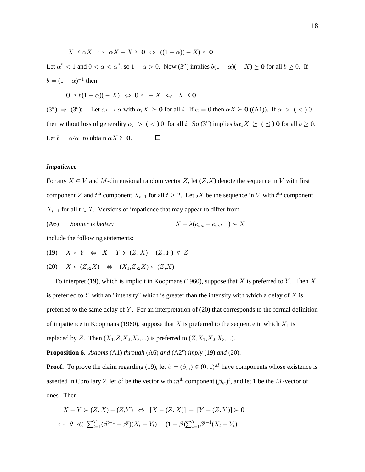$X \preceq \alpha X \Leftrightarrow \alpha X - X \succeq 0 \Leftrightarrow ((1 - \alpha)(-X) \succeq 0$ Let  $\alpha^* < 1$  and  $0 < \alpha < \alpha^*$ ; so  $1 - \alpha > 0$ . Now (3'') implies  $b(1 - \alpha)(-X) \succeq 0$  for all  $b \ge 0$ . If  $b = (1 - \alpha)^{-1}$  then

 $\mathbf{0} \preceq b(1 - \alpha)(-X) \Leftrightarrow \mathbf{0} \succeq -X \Leftrightarrow X \preceq \mathbf{0}$ 

 $(3'') \Rightarrow (3^0)$ : Let  $\alpha_i \rightarrow \alpha$  with  $\alpha_i X \succeq 0$  for all i. If  $\alpha = 0$  then  $\alpha X \succeq 0$  ((A1)). If  $\alpha > (\alpha)$  0 then without loss of generality  $\alpha_i > (+) 0$  for all i. So (3") implies  $b\alpha_1 X \succeq (+) 0$  for all  $b \ge 0$ . Let  $b = \alpha/\alpha_1$  to obtain  $\alpha X \succeq \mathbf{0}$ .  $\Box$ 

### *Impatience*

For any  $X \in V$  and  $M$ -dimensional random vector  $Z$ , let  $(Z, X)$  denote the sequence in V with first component Z and  $t^{\text{th}}$  component  $X_{t-1}$  for all  $t \geq 2$ . Let  ${}_2X$  be the sequence in V with  $t^{\text{th}}$  component  $X_{t+1}$  for all t  $\in \mathcal{I}$ . Versions of impatience that may appear to differ from

(A6) Sooner is better:  $X + \lambda(e_{mt} - e_{m,t+1}) \succ X$ 

include the following statements:

$$
(19) \quad X \succ Y \quad \Leftrightarrow \quad X - Y \succ (Z, X) - (Z, Y) \ \forall \ Z
$$

(20)  $X \succ (Z, _2X) \Leftrightarrow (X_1, Z, _2X) \succ (Z, X)$ 

To interpret (19), which is implicit in Koopmans (1960), suppose that  $X$  is preferred to  $Y$ . Then  $X$ is preferred to Y with an "intensity" which is greater than the intensity with which a delay of X is preferred to the same delay of Y. For an interpretation of (20) that corresponds to the formal definition of impatience in Koopmans (1960), suppose that  $\ X$  is preferred to the sequence in which  $X_1$  is replaced by Z. Then  $(X_1, Z, X_2, X_3, ...)$  is preferred to  $(Z, X_1, X_2, X_3, ...)$ .

**Proposition 6.** Axioms (A1) through (A6) and (A2 $\text{c}$ ) imply (19) and (20).

**Proof.** To prove the claim regarding (19), let  $\beta = (\beta_m) \in (0, 1)^M$  have components whose existence is asserted in Corollary 2, let  $\beta^t$  be the vector with  $m^{\text{th}}$  component  $(\beta_m)^t$ , and let 1 be the M-vector of ones. Then

$$
X - Y \succ (Z, X) - (Z, Y) \Leftrightarrow [X - (Z, X)] - [Y - (Z, Y)] \succ \mathbf{0}
$$
  
\n
$$
\Leftrightarrow \theta \ll \sum_{t=1}^{T} (\beta^{t-1} - \beta^{t})(X_{t} - Y_{t}) = (\mathbf{1} - \beta) \sum_{t=1}^{T} \beta^{t-1} (X_{t} - Y_{t})
$$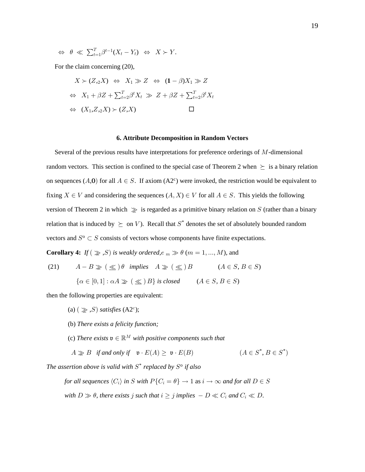$$
\Leftrightarrow \theta \ll \sum_{t=1}^T \beta^{t-1}(X_t - Y_t) \Leftrightarrow X \succ Y.
$$

For the claim concerning (20),

$$
X \succ (Z,2X) \Leftrightarrow X_1 \gg Z \Leftrightarrow (\mathbf{1} - \beta)X_1 \gg Z
$$
  

$$
\Leftrightarrow X_1 + \beta Z + \sum_{t=2}^T \beta^t X_t \gg Z + \beta Z + \sum_{t=2}^T \beta^t X_t
$$
  

$$
\Leftrightarrow (X_1, Z,2X) \succ (Z,X) \qquad \Box
$$

#### **6. Attribute Decomposition in Random Vectors**

Several of the previous results have interpretations for preference orderings of  $M$ -dimensional random vectors. This section is confined to the special case of Theorem 2 when  $\succeq$  is a binary relation on sequences (A,0) for all  $A \in S$ . If axiom (A2<sup>c</sup>) were invoked, the restriction would be equivalent to fixing  $X \in V$  and considering the sequences  $(A, X) \in V$  for all  $A \in S$ . This yields the following version of Theorem 2 in which  $\gg$  is regarded as a primitive binary relation on S (rather than a binary relation that is induced by  $\succeq$  on V). Recall that S<sup>\*</sup> denotes the set of absolutely bounded random vectors and  $S^{\circ} \subset S$  consists of vectors whose components have finite expectations.

**Corollary 4:** If  $(\gg, S)$  is weakly ordered,  $e_m \gg \theta$  ( $m = 1, ..., M$ ), and

 $A - B \geq ( \leq ) \theta$  implies  $A \geq ( \leq ) B$   $(A \in S, B \in S)$  $(21)$  $\{\alpha \in [0,1]: \alpha A \gg (\leq) B\}$  is closed  $(A \in S, B \in S)$ 

then the following properties are equivalent:

- (a)  $(\gg, S)$  satisfies (A2<sup>c</sup>);
- (b) There exists a felicity function;
- (c) There exists  $\mathfrak{v} \in \mathbb{R}^M$  with positive components such that

$$
A \geq B \quad \text{if and only if} \quad \mathfrak{v} \cdot E(A) \geq \mathfrak{v} \cdot E(B) \tag{A \in S^*, B \in S^*}
$$

The assertion above is valid with  $S^*$  replaced by  $S^0$  if also

for all sequences  $\langle C_i \rangle$  in S with  $P\{C_i = \theta\} \to 1$  as  $i \to \infty$  and for all  $D \in S$ with  $D \gg \theta$ , there exists j such that  $i \geq j$  implies  $-D \ll C_i$  and  $C_i \ll D$ .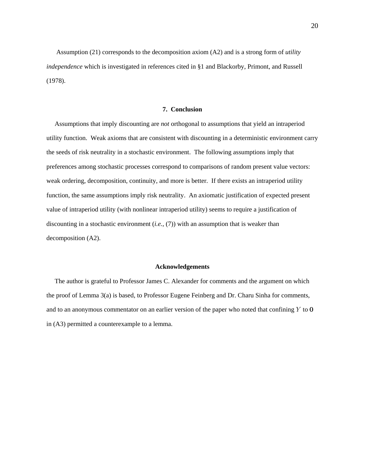Assumption (21) corresponds to the decomposition axiom (A2) and is a strong form of *utility independence* which is investigated in references cited in §1 and Blackorby, Primont, and Russell (1978).

#### **7. Conclusion**

Assumptions that imply discounting are *not* orthogonal to assumptions that yield an intraperiod utility function. Weak axioms that are consistent with discounting in a deterministic environment carry the seeds of risk neutrality in a stochastic environment. The following assumptions imply that preferences among stochastic processes correspond to comparisons of random present value vectors: weak ordering, decomposition, continuity, and more is better. If there exists an intraperiod utility function, the same assumptions imply risk neutrality. An axiomatic justification of expected present value of intraperiod utility (with nonlinear intraperiod utility) seems to require a justification of discounting in a stochastic environment  $(i.e., (7))$  with an assumption that is weaker than decomposition (A2).

### **Acknowledgements**

 The author is grateful to Professor James C. Alexander for comments and the argument on which the proof of Lemma 3(a) is based, to Professor Eugene Feinberg and Dr. Charu Sinha for comments, and to an anonymous commentator on an earlier version of the paper who noted that confining  $Y$  to  $\mathbf{0}$ in (A3) permitted a counterexample to a lemma.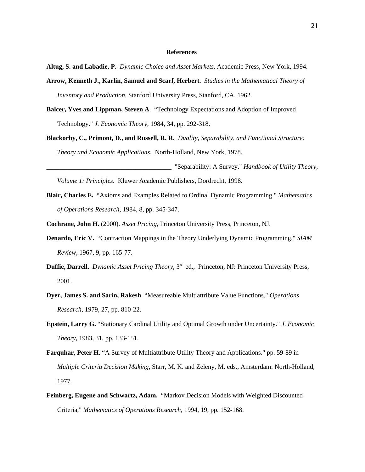## **References**

Altug, S. and Labadie, P. Dynamic Choice and Asset Markets, Academic Press, New York, 1994.

- **Arrow, Kenneth J., Karlin, Samuel and Scarf, Herbert.** *Studies in the Mathematical Theory of Inventory and Production*, Stanford University Press, Stanford, CA, 1962.
- **Balcer, Yves and Lippman, Steven A**. "Technology Expectations and Adoption of Improved Technology." *J. Economic Theory*, 1984, 34, pp. 292-318.
- **Blackorby, C., Primont, D., and Russell, R. R.** *Duality, Separability, and Functional Structure: Theory and Economic Applications*. North-Holland, New York, 1978.
- **\_\_\_\_\_\_\_\_\_\_\_\_\_\_\_\_\_\_\_\_\_\_\_\_\_\_\_\_\_\_\_\_\_\_\_\_\_\_** "Separability: A Survey." *Handbook of Utility Theory, Volume 1: Principles*. Kluwer Academic Publishers, Dordrecht, 1998.
- **Blair, Charles E.** "Axioms and Examples Related to Ordinal Dynamic Programming." *Mathematics of Operations Research*, 1984, 8, pp. 345-347.
- **Cochrane, John H.** (2000). *Asset Pricing*, Princeton University Press, Princeton, NJ.
- **Denardo, Eric V.** "Contraction Mappings in the Theory Underlying Dynamic Programming." *SIAM Review*, 1967, 9, pp. 165-77.
- **Duffie, Darrell**. Dynamic Asset Pricing Theory, 3<sup>rd</sup> ed., Princeton, NJ: Princeton University Press, 2001.
- **Dyer, James S. and Sarin, Rakesh** "Measureable Multiattribute Value Functions." *Operations Research*, 1979, 27, pp. 810-22.
- **Epstein, Larry G.** "Stationary Cardinal Utility and Optimal Growth under Uncertainty." *J. Economic Theory*, 1983, 31, pp. 133-151.
- **Farquhar, Peter H.** "A Survey of Multiattribute Utility Theory and Applications." pp. 59-89 in *Multiple Criteria Decision Making,* Starr, M. K. and Zeleny, M. eds., Amsterdam: North-Holland, 1977.
- **Feinberg, Eugene and Schwartz, Adam.** "Markov Decision Models with Weighted Discounted Criteria," Mathematics of Operations Research, 1994, 19, pp. 152-168.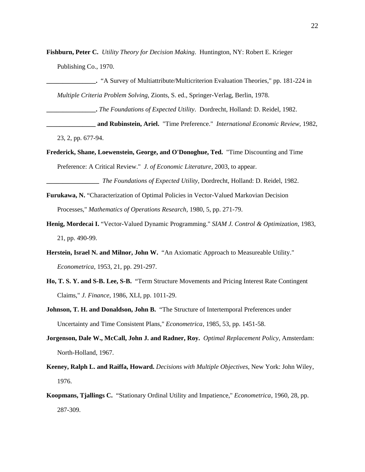Fishburn, Peter C. *Utility Theory for Decision Making*. Huntington, NY: Robert E. Krieger Publishing Co., 1970.

**\_\_\_\_\_\_\_\_\_\_\_\_\_\_\_.** "A Survey of Multiattribute/Multicriterion Evaluation Theories," pp. 181-224 in *Multiple Criteria Problem Solving*, Zionts, S. ed., Springer-Verlag, Berlin, 1978.

**\_\_\_\_\_\_\_\_\_\_\_\_\_\_\_.** . Dordrecht, Holland: D. Reidel, 1982. *The Foundations of Expected Utility*

**\_\_\_\_\_\_\_ and Rubinstein, Ariel.** "Time Preference." *International Economic Review*, 1982, 23, 2, pp. 677-94.

**Frederick, Shane, Loewenstein, George, and O'Donoghue, Ted.** "Time Discounting and Time Preference: A Critical Review." J. of Economic Literature, 2003, to appear.

*The Foundations of Expected Utility*, Dordrecht, Holland: D. Reidel, 1982.

- **Furukawa, N.** "Characterization of Optimal Policies in Vector-Valued Markovian Decision Processes," Mathematics of Operations Research, 1980, 5, pp. 271-79.
- Henig, Mordecai I. "Vector-Valued Dynamic Programming." SIAM J. Control & Optimization, 1983, 21, pp. 490-99.
- **Herstein, Israel N. and Milnor, John W.** "An Axiomatic Approach to Measureable Utility." *Econometrica*, 1953, 21, pp. 291-297.
- **Ho, T. S. Y. and S-B. Lee, S-B.** "Term Structure Movements and Pricing Interest Rate Contingent Claims," *J. Finance*, 1986, XLI, pp. 1011-29.
- **Johnson, T. H. and Donaldson, John B.** "The Structure of Intertemporal Preferences under Uncertainty and Time Consistent Plans," *Econometrica*, 1985, 53, pp. 1451-58.
- **Jorgenson, Dale W., McCall, John J. and Radner, Roy.** Optimal Replacement Policy, Amsterdam: North-Holland, 1967.
- Keeney, Ralph L. and Raiffa, Howard. *Decisions with Multiple Objectives*, New York: John Wiley, 1976.
- **Koopmans, Tjallings C.** "Stationary Ordinal Utility and Impatience," *Econometrica*, 1960, 28, pp. 287-309.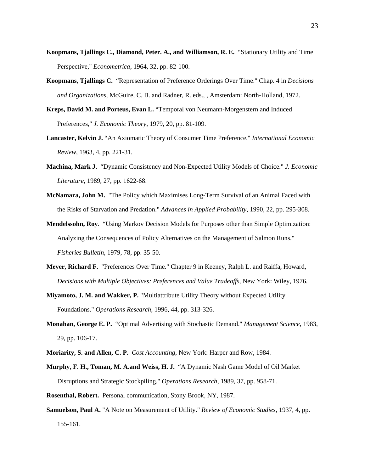- **Koopmans, Tjallings C., Diamond, Peter. A., and Williamson, R. E.** "Stationary Utility and Time Perspective," *Econometrica*, 1964, 32, pp. 82-100.
- **Koopmans, Tjallings C.** "Representation of Preference Orderings Over Time." Chap. 4 in *Decisions and Organizations*, McGuire, C. B. and Radner, R. eds., , Amsterdam: North-Holland, 1972.
- **Kreps, David M. and Porteus, Evan L.** "Temporal von Neumann-Morgenstern and Induced Preferences," *J. Economic Theory*, 1979, 20, pp. 81-109.
- **Lancaster, Kelvin J.** "An Axiomatic Theory of Consumer Time Preference." *International Economic Review*, 1963, 4, pp. 221-31.
- **Machina, Mark J.** "Dynamic Consistency and Non-Expected Utility Models of Choice." *J. Economic Literature*, 1989, 27, pp. 1622-68.
- **McNamara, John M.** "The Policy which Maximises Long-Term Survival of an Animal Faced with the Risks of Starvation and Predation." *Advances in Applied Probability*, 1990, 22, pp. 295-308.
- **Mendelssohn, Roy**. "Using Markov Decision Models for Purposes other than Simple Optimization: Analyzing the Consequences of Policy Alternatives on the Management of Salmon Runs." *Fisheries Bulletin*, 1979, 78, pp. 35-50.
- **Meyer, Richard F.** "Preferences Over Time." Chapter 9 in Keeney, Ralph L. and Raiffa, Howard, *Decisions with Multiple Objectives: Preferences and Value Tradeoffs*, New York: Wiley, 1976.
- **Miyamoto, J. M. and Wakker, P.** "Multiattribute Utility Theory without Expected Utility Foundations." *Operations Research*, 1996, 44, pp. 313-326.
- **Monahan, George E. P.** "Optimal Advertising with Stochastic Demand." *Management Science*, 1983, 29, pp. 106-17.
- **Moriarity, S. and Allen, C. P.** *Cost Accounting*, New York: Harper and Row, 1984.
- **Murphy, F. H., Toman, M. A.and Weiss, H. J.** "A Dynamic Nash Game Model of Oil Market Disruptions and Strategic Stockpiling." Operations Research, 1989, 37, pp. 958-71.
- **Rosenthal, Robert.** Personal communication, Stony Brook, NY, 1987.
- **Samuelson, Paul A.** "A Note on Measurement of Utility." *Review of Economic Studies*, 1937, 4, pp. 155-161.